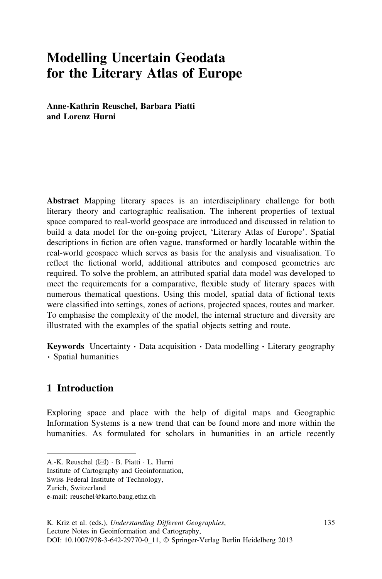# Modelling Uncertain Geodata for the Literary Atlas of Europe

Anne-Kathrin Reuschel, Barbara Piatti and Lorenz Hurni

Abstract Mapping literary spaces is an interdisciplinary challenge for both literary theory and cartographic realisation. The inherent properties of textual space compared to real-world geospace are introduced and discussed in relation to build a data model for the on-going project, 'Literary Atlas of Europe'. Spatial descriptions in fiction are often vague, transformed or hardly locatable within the real-world geospace which serves as basis for the analysis and visualisation. To reflect the fictional world, additional attributes and composed geometries are required. To solve the problem, an attributed spatial data model was developed to meet the requirements for a comparative, flexible study of literary spaces with numerous thematical questions. Using this model, spatial data of fictional texts were classified into settings, zones of actions, projected spaces, routes and marker. To emphasise the complexity of the model, the internal structure and diversity are illustrated with the examples of the spatial objects setting and route.

Keywords Uncertainty · Data acquisition · Data modelling · Literary geography - Spatial humanities

## 1 Introduction

Exploring space and place with the help of digital maps and Geographic Information Systems is a new trend that can be found more and more within the humanities. As formulated for scholars in humanities in an article recently

Institute of Cartography and Geoinformation,

Swiss Federal Institute of Technology,

e-mail: reuschel@karto.baug.ethz.ch

A.-K. Reuschel  $(\boxtimes) \cdot B$ . Piatti  $\cdot L$ . Hurni

Zurich, Switzerland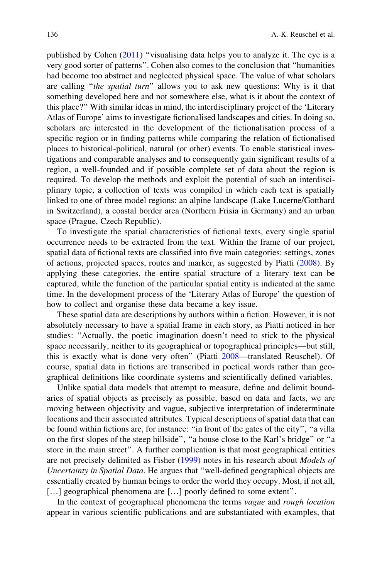published by Cohen ([2011\)](#page-21-0) ''visualising data helps you to analyze it. The eye is a very good sorter of patterns''. Cohen also comes to the conclusion that ''humanities had become too abstract and neglected physical space. The value of what scholars are calling "the spatial turn" allows you to ask new questions: Why is it that something developed here and not somewhere else, what is it about the context of this place?'' With similar ideas in mind, the interdisciplinary project of the 'Literary Atlas of Europe' aims to investigate fictionalised landscapes and cities. In doing so, scholars are interested in the development of the fictionalisation process of a specific region or in finding patterns while comparing the relation of fictionalised places to historical-political, natural (or other) events. To enable statistical investigations and comparable analyses and to consequently gain significant results of a region, a well-founded and if possible complete set of data about the region is required. To develop the methods and exploit the potential of such an interdisciplinary topic, a collection of texts was compiled in which each text is spatially linked to one of three model regions: an alpine landscape (Lake Lucerne/Gotthard in Switzerland), a coastal border area (Northern Frisia in Germany) and an urban space (Prague, Czech Republic).

To investigate the spatial characteristics of fictional texts, every single spatial occurrence needs to be extracted from the text. Within the frame of our project, spatial data of fictional texts are classified into five main categories: settings, zones of actions, projected spaces, routes and marker, as suggested by Piatti [\(2008\)](#page-22-0). By applying these categories, the entire spatial structure of a literary text can be captured, while the function of the particular spatial entity is indicated at the same time. In the development process of the 'Literary Atlas of Europe' the question of how to collect and organise these data became a key issue.

These spatial data are descriptions by authors within a fiction. However, it is not absolutely necessary to have a spatial frame in each story, as Piatti noticed in her studies: ''Actually, the poetic imagination doesn't need to stick to the physical space necessarily, neither to its geographical or topographical principles—but still, this is exactly what is done very often'' (Piatti [2008](#page-22-0)—translated Reuschel). Of course, spatial data in fictions are transcribed in poetical words rather than geographical definitions like coordinate systems and scientifically defined variables.

Unlike spatial data models that attempt to measure, define and delimit boundaries of spatial objects as precisely as possible, based on data and facts, we are moving between objectivity and vague, subjective interpretation of indeterminate locations and their associated attributes. Typical descriptions of spatial data that can be found within fictions are, for instance: ''in front of the gates of the city'', ''a villa on the first slopes of the steep hillside'', ''a house close to the Karl's bridge'' or ''a store in the main street''. A further complication is that most geographical entities are not precisely delimited as Fisher ([1999\)](#page-22-0) notes in his research about Models of Uncertainty in Spatial Data. He argues that ''well-defined geographical objects are essentially created by human beings to order the world they occupy. Most, if not all, [...] geographical phenomena are [...] poorly defined to some extent".

In the context of geographical phenomena the terms vague and rough location appear in various scientific publications and are substantiated with examples, that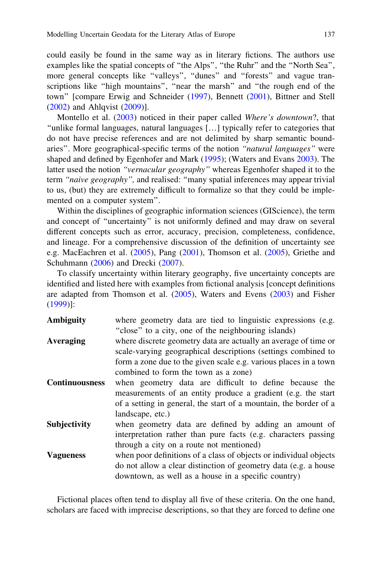could easily be found in the same way as in literary fictions. The authors use examples like the spatial concepts of ''the Alps'', ''the Ruhr'' and the ''North Sea'', more general concepts like "valleys", "dunes" and "forests" and vague transcriptions like "high mountains", "near the marsh" and "the rough end of the town'' [compare Erwig and Schneider [\(1997](#page-22-0)), Bennett [\(2001](#page-21-0)), Bittner and Stell [\(2002](#page-21-0)) and Ahlqvist ([2009\)](#page-21-0)].

Montello et al. [\(2003](#page-22-0)) noticed in their paper called Where's downtown?, that ''unlike formal languages, natural languages […] typically refer to categories that do not have precise references and are not delimited by sharp semantic boundaries''. More geographical-specific terms of the notion ''natural languages'' were shaped and defined by Egenhofer and Mark ([1995\)](#page-21-0); (Waters and Evans [2003\)](#page-22-0). The latter used the notion ''vernacular geography'' whereas Egenhofer shaped it to the term "naive geography", and realised: "many spatial inferences may appear trivial to us, (but) they are extremely difficult to formalize so that they could be implemented on a computer system''.

Within the disciplines of geographic information sciences (GIScience), the term and concept of ''uncertainty'' is not uniformly defined and may draw on several different concepts such as error, accuracy, precision, completeness, confidence, and lineage. For a comprehensive discussion of the definition of uncertainty see e.g. MacEachren et al. ([2005\)](#page-22-0), Pang ([2001\)](#page-22-0), Thomson et al. [\(2005](#page-22-0)), Griethe and Schuhmann ([2006\)](#page-22-0) and Drecki ([2007\)](#page-21-0).

To classify uncertainty within literary geography, five uncertainty concepts are identified and listed here with examples from fictional analysis [concept definitions are adapted from Thomson et al. ([2005\)](#page-22-0), Waters and Evens [\(2003](#page-22-0)) and Fisher [\(1999](#page-22-0))]:

| where geometry data are tied to linguistic expressions (e.g.      |
|-------------------------------------------------------------------|
| "close" to a city, one of the neighbouring islands)               |
| where discrete geometry data are actually an average of time or   |
| scale-varying geographical descriptions (settings combined to     |
| form a zone due to the given scale e.g. various places in a town  |
| combined to form the town as a zone)                              |
| when geometry data are difficult to define because the            |
| measurements of an entity produce a gradient (e.g. the start      |
| of a setting in general, the start of a mountain, the border of a |
| landscape, etc.)                                                  |
| when geometry data are defined by adding an amount of             |
| interpretation rather than pure facts (e.g. characters passing    |
| through a city on a route not mentioned)                          |
| when poor definitions of a class of objects or individual objects |
| do not allow a clear distinction of geometry data (e.g. a house   |
| downtown, as well as a house in a specific country)               |
|                                                                   |

Fictional places often tend to display all five of these criteria. On the one hand, scholars are faced with imprecise descriptions, so that they are forced to define one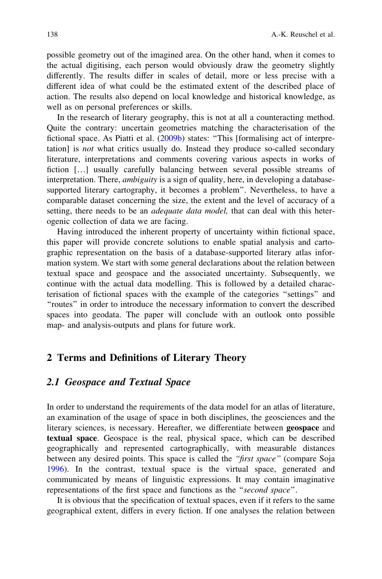<span id="page-3-0"></span>possible geometry out of the imagined area. On the other hand, when it comes to the actual digitising, each person would obviously draw the geometry slightly differently. The results differ in scales of detail, more or less precise with a different idea of what could be the estimated extent of the described place of action. The results also depend on local knowledge and historical knowledge, as well as on personal preferences or skills.

In the research of literary geography, this is not at all a counteracting method. Quite the contrary: uncertain geometries matching the characterisation of the fictional space. As Piatti et al. [\(2009b](#page-22-0)) states: ''This [formalising act of interpretation] is not what critics usually do. Instead they produce so-called secondary literature, interpretations and comments covering various aspects in works of fiction […] usually carefully balancing between several possible streams of interpretation. There, *ambiguity* is a sign of quality, here, in developing a databasesupported literary cartography, it becomes a problem''. Nevertheless, to have a comparable dataset concerning the size, the extent and the level of accuracy of a setting, there needs to be an *adequate data model*, that can deal with this heterogenic collection of data we are facing.

Having introduced the inherent property of uncertainty within fictional space, this paper will provide concrete solutions to enable spatial analysis and cartographic representation on the basis of a database-supported literary atlas information system. We start with some general declarations about the relation between textual space and geospace and the associated uncertainty. Subsequently, we continue with the actual data modelling. This is followed by a detailed characterisation of fictional spaces with the example of the categories ''settings'' and ''routes'' in order to introduce the necessary information to convert the described spaces into geodata. The paper will conclude with an outlook onto possible map- and analysis-outputs and plans for future work.

#### 2 Terms and Definitions of Literary Theory

#### 2.1 Geospace and Textual Space

In order to understand the requirements of the data model for an atlas of literature, an examination of the usage of space in both disciplines, the geosciences and the literary sciences, is necessary. Hereafter, we differentiate between geospace and textual space. Geospace is the real, physical space, which can be described geographically and represented cartographically, with measurable distances between any desired points. This space is called the "first space" (compare Soja [1996\)](#page-22-0). In the contrast, textual space is the virtual space, generated and communicated by means of linguistic expressions. It may contain imaginative representations of the first space and functions as the ''second space''.

It is obvious that the specification of textual spaces, even if it refers to the same geographical extent, differs in every fiction. If one analyses the relation between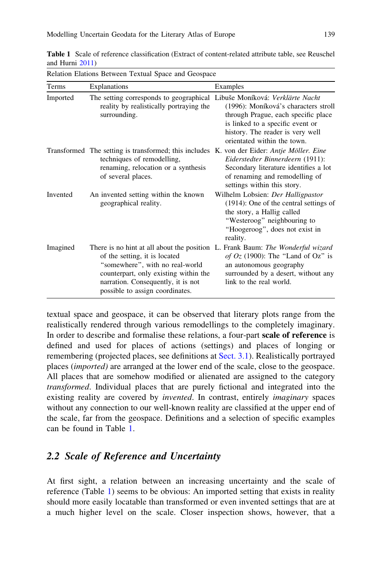|          | Relation Elations Between Textual Space and Geospace                                                                                                                                                                                                                 |                                                                                                                                                                                           |
|----------|----------------------------------------------------------------------------------------------------------------------------------------------------------------------------------------------------------------------------------------------------------------------|-------------------------------------------------------------------------------------------------------------------------------------------------------------------------------------------|
| Terms    | Explanations                                                                                                                                                                                                                                                         | Examples                                                                                                                                                                                  |
| Imported | The setting corresponds to geographical Libuše Moníková: Verklärte Nacht<br>reality by realistically portraying the<br>surrounding.                                                                                                                                  | (1996): Moníková's characters stroll<br>through Prague, each specific place<br>is linked to a specific event or<br>history. The reader is very well<br>orientated within the town.        |
|          | Transformed The setting is transformed; this includes K. von der Eider: Antje Möller. Eine<br>techniques of remodelling,<br>renaming, relocation or a synthesis<br>of several places.                                                                                | Eiderstedter Binnerdeern (1911):<br>Secondary literature identifies a lot<br>of renaming and remodelling of<br>settings within this story.                                                |
| Invented | An invented setting within the known<br>geographical reality.                                                                                                                                                                                                        | Wilhelm Lobsien: Der Halligpastor<br>$(1914)$ : One of the central settings of<br>the story, a Hallig called<br>"Westeroog" neighbouring to<br>"Hoogeroog", does not exist in<br>reality. |
| Imagined | There is no hint at all about the position L. Frank Baum: The Wonderful wizard<br>of the setting, it is located<br>"somewhere", with no real-world<br>counterpart, only existing within the<br>narration. Consequently, it is not<br>possible to assign coordinates. | of $Oz$ (1900): The "Land of Oz" is<br>an autonomous geography<br>surrounded by a desert, without any<br>link to the real world.                                                          |

Table 1 Scale of reference classification (Extract of content-related attribute table, see Reuschel and Hurni [2011](#page-22-0))

textual space and geospace, it can be observed that literary plots range from the realistically rendered through various remodellings to the completely imaginary. In order to describe and formalise these relations, a four-part scale of reference is defined and used for places of actions (settings) and places of longing or remembering (projected places, see definitions at [Sect. 3.1](#page-5-0)). Realistically portrayed places (imported) are arranged at the lower end of the scale, close to the geospace. All places that are somehow modified or alienated are assigned to the category transformed. Individual places that are purely fictional and integrated into the existing reality are covered by *invented*. In contrast, entirely *imaginary* spaces without any connection to our well-known reality are classified at the upper end of the scale, far from the geospace. Definitions and a selection of specific examples can be found in Table 1.

## 2.2 Scale of Reference and Uncertainty

At first sight, a relation between an increasing uncertainty and the scale of reference (Table 1) seems to be obvious: An imported setting that exists in reality should more easily locatable than transformed or even invented settings that are at a much higher level on the scale. Closer inspection shows, however, that a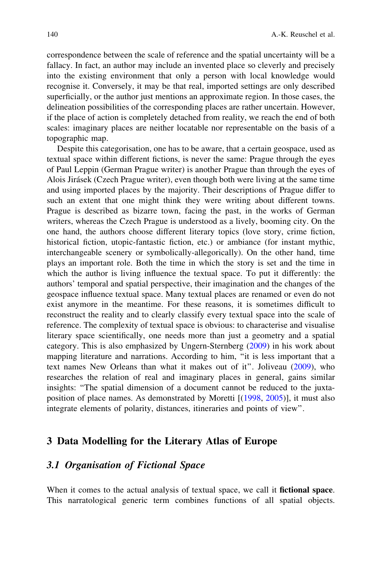<span id="page-5-0"></span>correspondence between the scale of reference and the spatial uncertainty will be a fallacy. In fact, an author may include an invented place so cleverly and precisely into the existing environment that only a person with local knowledge would recognise it. Conversely, it may be that real, imported settings are only described superficially, or the author just mentions an approximate region. In those cases, the delineation possibilities of the corresponding places are rather uncertain. However, if the place of action is completely detached from reality, we reach the end of both scales: imaginary places are neither locatable nor representable on the basis of a topographic map.

Despite this categorisation, one has to be aware, that a certain geospace, used as textual space within different fictions, is never the same: Prague through the eyes of Paul Leppin (German Prague writer) is another Prague than through the eyes of Alois Jirásek (Czech Prague writer), even though both were living at the same time and using imported places by the majority. Their descriptions of Prague differ to such an extent that one might think they were writing about different towns. Prague is described as bizarre town, facing the past, in the works of German writers, whereas the Czech Prague is understood as a lively, booming city. On the one hand, the authors choose different literary topics (love story, crime fiction, historical fiction, utopic-fantastic fiction, etc.) or ambiance (for instant mythic, interchangeable scenery or symbolically-allegorically). On the other hand, time plays an important role. Both the time in which the story is set and the time in which the author is living influence the textual space. To put it differently: the authors' temporal and spatial perspective, their imagination and the changes of the geospace influence textual space. Many textual places are renamed or even do not exist anymore in the meantime. For these reasons, it is sometimes difficult to reconstruct the reality and to clearly classify every textual space into the scale of reference. The complexity of textual space is obvious: to characterise and visualise literary space scientifically, one needs more than just a geometry and a spatial category. This is also emphasized by Ungern-Sternberg [\(2009\)](#page-22-0) in his work about mapping literature and narrations. According to him, ''it is less important that a text names New Orleans than what it makes out of it''. Joliveau [\(2009](#page-22-0)), who researches the relation of real and imaginary places in general, gains similar insights: ''The spatial dimension of a document cannot be reduced to the juxtaposition of place names. As demonstrated by Moretti [[\(1998](#page-22-0), [2005\)](#page-22-0)], it must also integrate elements of polarity, distances, itineraries and points of view''.

### 3 Data Modelling for the Literary Atlas of Europe

## 3.1 Organisation of Fictional Space

When it comes to the actual analysis of textual space, we call it **fictional space**. This narratological generic term combines functions of all spatial objects.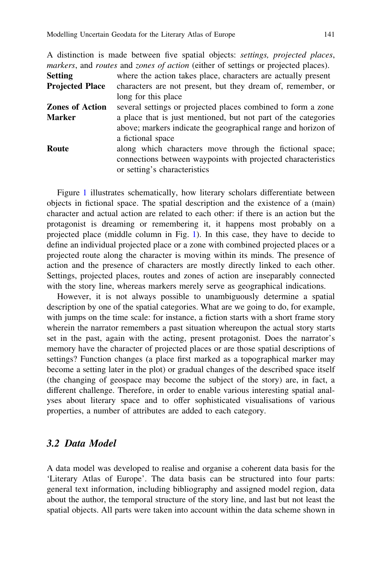A distinction is made between five spatial objects: settings, projected places, markers, and routes and zones of action (either of settings or projected places).

| <b>Setting</b>         | where the action takes place, characters are actually present  |
|------------------------|----------------------------------------------------------------|
| <b>Projected Place</b> | characters are not present, but they dream of, remember, or    |
|                        | long for this place                                            |
| <b>Zones of Action</b> | several settings or projected places combined to form a zone   |
| <b>Marker</b>          | a place that is just mentioned, but not part of the categories |
|                        | above; markers indicate the geographical range and horizon of  |
|                        | a fictional space                                              |
| Route                  | along which characters move through the fictional space;       |
|                        | connections between waypoints with projected characteristics   |
|                        | or setting's characteristics                                   |

Figure [1](#page-7-0) illustrates schematically, how literary scholars differentiate between objects in fictional space. The spatial description and the existence of a (main) character and actual action are related to each other: if there is an action but the protagonist is dreaming or remembering it, it happens most probably on a projected place (middle column in Fig. [1](#page-7-0)). In this case, they have to decide to define an individual projected place or a zone with combined projected places or a projected route along the character is moving within its minds. The presence of action and the presence of characters are mostly directly linked to each other. Settings, projected places, routes and zones of action are inseparably connected with the story line, whereas markers merely serve as geographical indications.

However, it is not always possible to unambiguously determine a spatial description by one of the spatial categories. What are we going to do, for example, with jumps on the time scale: for instance, a fiction starts with a short frame story wherein the narrator remembers a past situation whereupon the actual story starts set in the past, again with the acting, present protagonist. Does the narrator's memory have the character of projected places or are those spatial descriptions of settings? Function changes (a place first marked as a topographical marker may become a setting later in the plot) or gradual changes of the described space itself (the changing of geospace may become the subject of the story) are, in fact, a different challenge. Therefore, in order to enable various interesting spatial analyses about literary space and to offer sophisticated visualisations of various properties, a number of attributes are added to each category.

### 3.2 Data Model

A data model was developed to realise and organise a coherent data basis for the 'Literary Atlas of Europe'. The data basis can be structured into four parts: general text information, including bibliography and assigned model region, data about the author, the temporal structure of the story line, and last but not least the spatial objects. All parts were taken into account within the data scheme shown in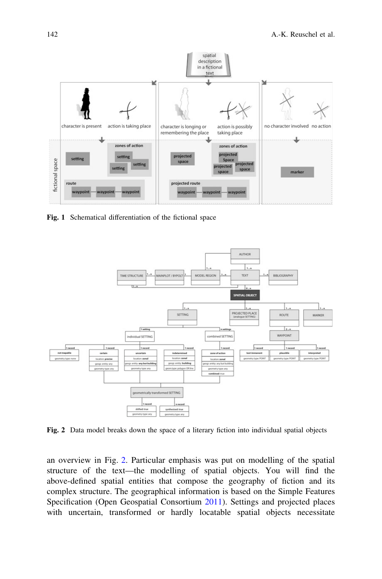<span id="page-7-0"></span>

Fig. 1 Schematical differentiation of the fictional space



Fig. 2 Data model breaks down the space of a literary fiction into individual spatial objects

an overview in Fig. 2. Particular emphasis was put on modelling of the spatial structure of the text—the modelling of spatial objects. You will find the above-defined spatial entities that compose the geography of fiction and its complex structure. The geographical information is based on the Simple Features Specification (Open Geospatial Consortium [2011\)](#page-22-0). Settings and projected places with uncertain, transformed or hardly locatable spatial objects necessitate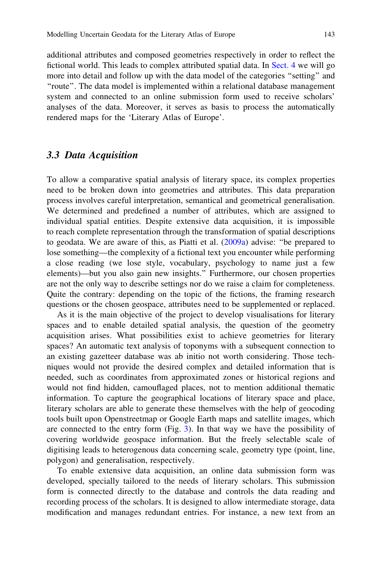additional attributes and composed geometries respectively in order to reflect the fictional world. This leads to complex attributed spatial data. In [Sect. 4](#page-9-0) we will go more into detail and follow up with the data model of the categories ''setting'' and ''route''. The data model is implemented within a relational database management system and connected to an online submission form used to receive scholars' analyses of the data. Moreover, it serves as basis to process the automatically rendered maps for the 'Literary Atlas of Europe'.

#### 3.3 Data Acquisition

To allow a comparative spatial analysis of literary space, its complex properties need to be broken down into geometries and attributes. This data preparation process involves careful interpretation, semantical and geometrical generalisation. We determined and predefined a number of attributes, which are assigned to individual spatial entities. Despite extensive data acquisition, it is impossible to reach complete representation through the transformation of spatial descriptions to geodata. We are aware of this, as Piatti et al. ([2009a](#page-22-0)) advise: ''be prepared to lose something—the complexity of a fictional text you encounter while performing a close reading (we lose style, vocabulary, psychology to name just a few elements)—but you also gain new insights.'' Furthermore, our chosen properties are not the only way to describe settings nor do we raise a claim for completeness. Quite the contrary: depending on the topic of the fictions, the framing research questions or the chosen geospace, attributes need to be supplemented or replaced.

As it is the main objective of the project to develop visualisations for literary spaces and to enable detailed spatial analysis, the question of the geometry acquisition arises. What possibilities exist to achieve geometries for literary spaces? An automatic text analysis of toponyms with a subsequent connection to an existing gazetteer database was ab initio not worth considering. Those techniques would not provide the desired complex and detailed information that is needed, such as coordinates from approximated zones or historical regions and would not find hidden, camouflaged places, not to mention additional thematic information. To capture the geographical locations of literary space and place, literary scholars are able to generate these themselves with the help of geocoding tools built upon Openstreetmap or Google Earth maps and satellite images, which are connected to the entry form (Fig. [3\)](#page-9-0). In that way we have the possibility of covering worldwide geospace information. But the freely selectable scale of digitising leads to heterogenous data concerning scale, geometry type (point, line, polygon) and generalisation, respectively.

To enable extensive data acquisition, an online data submission form was developed, specially tailored to the needs of literary scholars. This submission form is connected directly to the database and controls the data reading and recording process of the scholars. It is designed to allow intermediate storage, data modification and manages redundant entries. For instance, a new text from an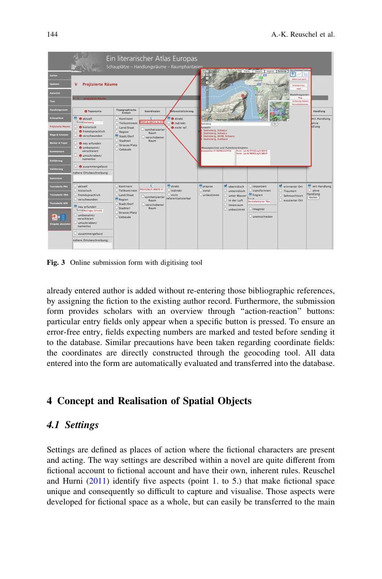<span id="page-9-0"></span>

|                              |                                                        |                                      |                             | Ein literarischer Atlas Europas<br>Schauplätze - Handlungsräume - Raumphantasien |                                                                                                 |                                          | Satellit Hybrid Gelände<br>Kene                                      | Zeichenwerkzeug                                                |                      |
|------------------------------|--------------------------------------------------------|--------------------------------------|-----------------------------|----------------------------------------------------------------------------------|-------------------------------------------------------------------------------------------------|------------------------------------------|----------------------------------------------------------------------|----------------------------------------------------------------|----------------------|
| Karten                       |                                                        |                                      |                             |                                                                                  | ना का ज                                                                                         |                                          | n                                                                    | delete last point                                              |                      |
| <b>Updaten</b>               | <b>Projizierte Räume</b><br>v                          |                                      |                             |                                                                                  |                                                                                                 |                                          |                                                                      | <b>Rinkfield entry</b><br>reset                                |                      |
| <b>AutorOn)</b>              |                                                        |                                      |                             |                                                                                  |                                                                                                 |                                          | Minihalt                                                             | Modellregionen:                                                |                      |
| Test                         | * V. projalerte Ebume                                  |                                      |                             |                                                                                  |                                                                                                 |                                          |                                                                      | Pring?<br><b>Schlassig Halstein</b><br><b>Herweldstätterer</b> |                      |
| <b>Handlungsraum</b>         | O Toponymie                                            | Topographische<br>Einheit            | Koordinaten                 | referentialisierung                                                              |                                                                                                 |                                          |                                                                      |                                                                | Handlung             |
| <b>Schauplätze</b>           | <b>O</b> aktuell<br>-Wileelishers                      | Kontinent<br>Teilkontinent           | DINTIE 586416 46.97         | <b>O</b> direkt<br>O indirekt                                                    |                                                                                                 |                                          |                                                                      |                                                                | mit Handlung<br>ohne |
| <b>Projizierte Räume</b>     | O historisch                                           | Land/Staat                           | synthetisierter             | O nicht ref.                                                                     | deliabers<br>uswahl:                                                                            |                                          | Ca                                                                   |                                                                | dlung                |
| <b>Wege &amp; Crenzen</b>    | O fremdsprachlich<br>O verschwunden                    | Region<br>Stadt/Dorf                 | Raum<br>verschobener        |                                                                                  | Seelisberg, Schweiz<br>Seelisberg, Schweiz<br>Seelisberg, 8498, Schweiz<br>Seelisberg, Svalbard |                                          |                                                                      |                                                                |                      |
| <b>Marker &amp; Topol</b>    | O neu erfunden<br>O umbenannt/                         | Stadtteil<br>Strasse/Platz           | Raum                        |                                                                                  |                                                                                                 | Mouseposition und Punktkoordinaten«      |                                                                      |                                                                |                      |
| <b><i><u>MARINTE</u></i></b> | verschleiert<br>O umschrieben/                         | Gebäude                              |                             |                                                                                  | <b>MTNCA &amp; SAUDIO TA-millione</b>                                                           |                                          | Punkt: Lat.46.974162Lng B.584442<br>Punkt: Lat.46.980955Lng 8.588219 |                                                                |                      |
| Einführung                   | namenlos                                               |                                      |                             |                                                                                  |                                                                                                 |                                          |                                                                      |                                                                |                      |
| Validierung                  | O zusammengefasst<br>nähere Ortsbeschreibung:          |                                      |                             |                                                                                  |                                                                                                 |                                          |                                                                      |                                                                |                      |
| Statistiken                  |                                                        |                                      |                             |                                                                                  |                                                                                                 |                                          |                                                                      |                                                                |                      |
| <b>Testtabelle PRC</b>       | aktuell<br>historisch                                  | Kontinent<br>Teilkontinent           | POLYGON(19.580078 47        | $\Theta$ direkt<br>indirekt                                                      | Oprazise<br>zonal                                                                               | M oberirdisch                            | importiert<br>transformiert                                          | erinnerter Ort                                                 | mit Handlung<br>ohne |
| <b>Texttabelle 4MA</b>       | fremdsprachlich<br>verschwunden                        | Land/Staat<br><b><i>O</i></b> Region | Synthetisierter             | nicht<br>referentialisierbar                                                     | unbestimmt                                                                                      | $\Box$ unterirdisch<br>Θ<br>unter Wasser | <i><b>O</b></i> finglert                                             | Traumort<br>Sehnsuchtsort                                      | Handlung<br>löschen  |
| <b>Testishelle NFR</b>       | neu erfunden                                           | Stadt/Dorf                           | <b>Raum</b><br>verschobener |                                                                                  |                                                                                                 | In der Luft<br>□<br>Innenraum            | <b>Kontrafaktischer "Beis"</b>                                       | evozierter Ort                                                 |                      |
|                              | <b>Longie Schedu</b>                                   | Stadtteil<br>Strasse/Platz           | Raum                        |                                                                                  |                                                                                                 | e<br>unbestimmt                          | <b>limaginar</b>                                                     |                                                                |                      |
| <b>Eingabe absender</b>      | umbenannt/<br>verschleiert<br>umschrieben/<br>namenlos | Cebaude                              |                             |                                                                                  |                                                                                                 |                                          | unentschieden                                                        |                                                                |                      |
|                              | zusammengefasst                                        |                                      |                             |                                                                                  |                                                                                                 |                                          |                                                                      |                                                                |                      |
|                              | nähere Ortsbeschreibung:                               |                                      |                             |                                                                                  |                                                                                                 |                                          |                                                                      |                                                                |                      |

Fig. 3 Online submission form with digitising tool

already entered author is added without re-entering those bibliographic references, by assigning the fiction to the existing author record. Furthermore, the submission form provides scholars with an overview through ''action-reaction'' buttons: particular entry fields only appear when a specific button is pressed. To ensure an error-free entry, fields expecting numbers are marked and tested before sending it to the database. Similar precautions have been taken regarding coordinate fields: the coordinates are directly constructed through the geocoding tool. All data entered into the form are automatically evaluated and transferred into the database.

## 4 Concept and Realisation of Spatial Objects

## 4.1 Settings

Settings are defined as places of action where the fictional characters are present and acting. The way settings are described within a novel are quite different from fictional account to fictional account and have their own, inherent rules. Reuschel and Hurni ([2011\)](#page-22-0) identify five aspects (point 1. to 5.) that make fictional space unique and consequently so difficult to capture and visualise. Those aspects were developed for fictional space as a whole, but can easily be transferred to the main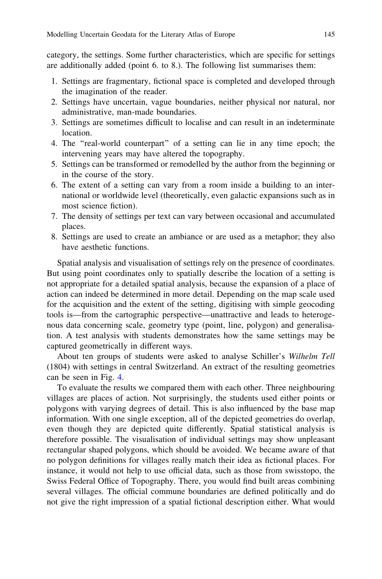category, the settings. Some further characteristics, which are specific for settings are additionally added (point 6. to 8.). The following list summarises them:

- 1. Settings are fragmentary, fictional space is completed and developed through the imagination of the reader.
- 2. Settings have uncertain, vague boundaries, neither physical nor natural, nor administrative, man-made boundaries.
- 3. Settings are sometimes difficult to localise and can result in an indeterminate location.
- 4. The ''real-world counterpart'' of a setting can lie in any time epoch; the intervening years may have altered the topography.
- 5. Settings can be transformed or remodelled by the author from the beginning or in the course of the story.
- 6. The extent of a setting can vary from a room inside a building to an international or worldwide level (theoretically, even galactic expansions such as in most science fiction).
- 7. The density of settings per text can vary between occasional and accumulated places.
- 8. Settings are used to create an ambiance or are used as a metaphor; they also have aesthetic functions.

Spatial analysis and visualisation of settings rely on the presence of coordinates. But using point coordinates only to spatially describe the location of a setting is not appropriate for a detailed spatial analysis, because the expansion of a place of action can indeed be determined in more detail. Depending on the map scale used for the acquisition and the extent of the setting, digitising with simple geocoding tools is—from the cartographic perspective—unattractive and leads to heterogenous data concerning scale, geometry type (point, line, polygon) and generalisation. A test analysis with students demonstrates how the same settings may be captured geometrically in different ways.

About ten groups of students were asked to analyse Schiller's Wilhelm Tell (1804) with settings in central Switzerland. An extract of the resulting geometries can be seen in Fig. [4](#page-11-0).

To evaluate the results we compared them with each other. Three neighbouring villages are places of action. Not surprisingly, the students used either points or polygons with varying degrees of detail. This is also influenced by the base map information. With one single exception, all of the depicted geometries do overlap, even though they are depicted quite differently. Spatial statistical analysis is therefore possible. The visualisation of individual settings may show unpleasant rectangular shaped polygons, which should be avoided. We became aware of that no polygon definitions for villages really match their idea as fictional places. For instance, it would not help to use official data, such as those from swisstopo, the Swiss Federal Office of Topography. There, you would find built areas combining several villages. The official commune boundaries are defined politically and do not give the right impression of a spatial fictional description either. What would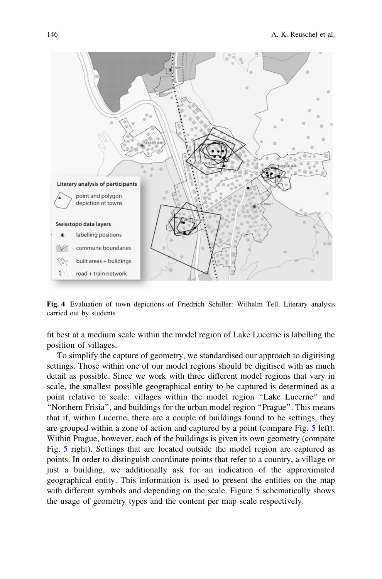<span id="page-11-0"></span>

Fig. 4 Evaluation of town depictions of Friedrich Schiller: Wilhelm Tell. Literary analysis carried out by students

fit best at a medium scale within the model region of Lake Lucerne is labelling the position of villages.

To simplify the capture of geometry, we standardised our approach to digitising settings. Those within one of our model regions should be digitised with as much detail as possible. Since we work with three different model regions that vary in scale, the smallest possible geographical entity to be captured is determined as a point relative to scale: villages within the model region ''Lake Lucerne'' and ''Northern Frisia'', and buildings for the urban model region ''Prague''. This means that if, within Lucerne, there are a couple of buildings found to be settings, they are grouped within a zone of action and captured by a point (compare Fig. [5](#page-12-0) left). Within Prague, however, each of the buildings is given its own geometry (compare Fig. [5](#page-12-0) right). Settings that are located outside the model region are captured as points. In order to distinguish coordinate points that refer to a country, a village or just a building, we additionally ask for an indication of the approximated geographical entity. This information is used to present the entities on the map with different symbols and depending on the scale. Figure [5](#page-12-0) schematically shows the usage of geometry types and the content per map scale respectively.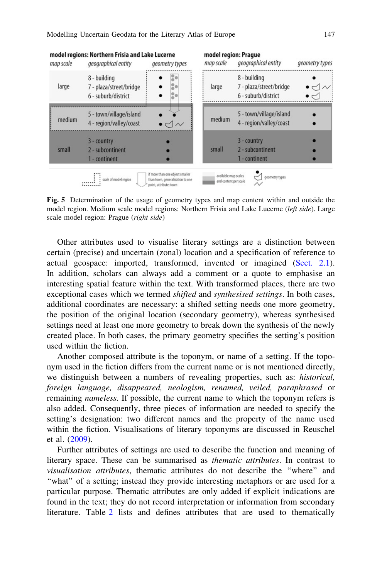<span id="page-12-0"></span>

Fig. 5 Determination of the usage of geometry types and map content within and outside the model region. Medium scale model regions: Northern Frisia and Lake Lucerne (left side). Large scale model region: Prague (right side)

Other attributes used to visualise literary settings are a distinction between certain (precise) and uncertain (zonal) location and a specification of reference to actual geospace: imported, transformed, invented or imagined [\(Sect. 2.1\)](#page-3-0). In addition, scholars can always add a comment or a quote to emphasise an interesting spatial feature within the text. With transformed places, there are two exceptional cases which we termed shifted and synthesised settings. In both cases, additional coordinates are necessary: a shifted setting needs one more geometry, the position of the original location (secondary geometry), whereas synthesised settings need at least one more geometry to break down the synthesis of the newly created place. In both cases, the primary geometry specifies the setting's position used within the fiction.

Another composed attribute is the toponym, or name of a setting. If the toponym used in the fiction differs from the current name or is not mentioned directly, we distinguish between a numbers of revealing properties, such as: historical, foreign language, disappeared, neologism, renamed, veiled, paraphrased or remaining nameless. If possible, the current name to which the toponym refers is also added. Consequently, three pieces of information are needed to specify the setting's designation: two different names and the property of the name used within the fiction. Visualisations of literary toponyms are discussed in Reuschel et al. ([2009\)](#page-22-0).

Further attributes of settings are used to describe the function and meaning of literary space. These can be summarised as thematic attributes. In contrast to visualisation attributes, thematic attributes do not describe the ''where'' and ''what'' of a setting; instead they provide interesting metaphors or are used for a particular purpose. Thematic attributes are only added if explicit indications are found in the text; they do not record interpretation or information from secondary literature. Table [2](#page-13-0) lists and defines attributes that are used to thematically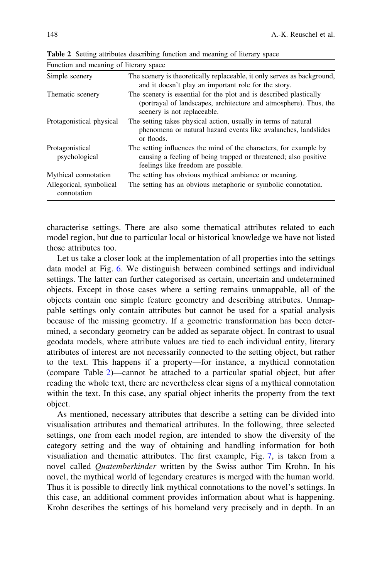| Function and meaning of literary space |                                                                                                                                                                             |
|----------------------------------------|-----------------------------------------------------------------------------------------------------------------------------------------------------------------------------|
| Simple scenery                         | The scenery is theoretically replaceable, it only serves as background,<br>and it doesn't play an important role for the story.                                             |
| Thematic scenery                       | The scenery is essential for the plot and is described plastically<br>(portrayal of landscapes, architecture and atmosphere). Thus, the<br>scenery is not replaceable.      |
| Protagonistical physical               | The setting takes physical action, usually in terms of natural<br>phenomena or natural hazard events like avalanches, landslides<br>or floods.                              |
| Protagonistical<br>psychological       | The setting influences the mind of the characters, for example by<br>causing a feeling of being trapped or threatened; also positive<br>feelings like freedom are possible. |
| Mythical connotation                   | The setting has obvious mythical ambiance or meaning.                                                                                                                       |
| Allegorical, symbolical<br>connotation | The setting has an obvious metaphoric or symbolic connotation.                                                                                                              |

<span id="page-13-0"></span>Table 2 Setting attributes describing function and meaning of literary space

characterise settings. There are also some thematical attributes related to each model region, but due to particular local or historical knowledge we have not listed those attributes too.

Let us take a closer look at the implementation of all properties into the settings data model at Fig. [6.](#page-14-0) We distinguish between combined settings and individual settings. The latter can further categorised as certain, uncertain and undetermined objects. Except in those cases where a setting remains unmappable, all of the objects contain one simple feature geometry and describing attributes. Unmappable settings only contain attributes but cannot be used for a spatial analysis because of the missing geometry. If a geometric transformation has been determined, a secondary geometry can be added as separate object. In contrast to usual geodata models, where attribute values are tied to each individual entity, literary attributes of interest are not necessarily connected to the setting object, but rather to the text. This happens if a property—for instance, a mythical connotation (compare Table 2)—cannot be attached to a particular spatial object, but after reading the whole text, there are nevertheless clear signs of a mythical connotation within the text. In this case, any spatial object inherits the property from the text object.

As mentioned, necessary attributes that describe a setting can be divided into visualisation attributes and thematical attributes. In the following, three selected settings, one from each model region, are intended to show the diversity of the category setting and the way of obtaining and handling information for both visualiation and thematic attributes. The first example, Fig. [7,](#page-15-0) is taken from a novel called Quatemberkinder written by the Swiss author Tim Krohn. In his novel, the mythical world of legendary creatures is merged with the human world. Thus it is possible to directly link mythical connotations to the novel's settings. In this case, an additional comment provides information about what is happening. Krohn describes the settings of his homeland very precisely and in depth. In an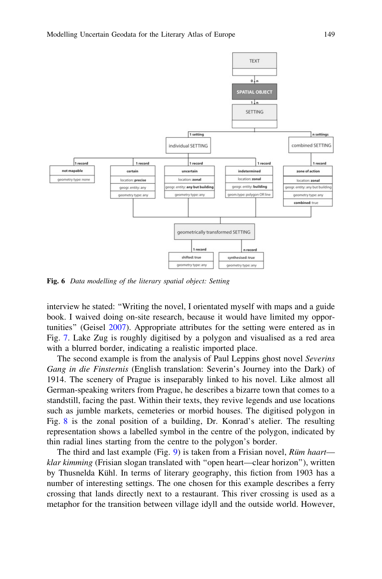<span id="page-14-0"></span>

Fig. 6 Data modelling of the literary spatial object: Setting

interview he stated: ''Writing the novel, I orientated myself with maps and a guide book. I waived doing on-site research, because it would have limited my opportunities'' (Geisel [2007](#page-22-0)). Appropriate attributes for the setting were entered as in Fig. [7.](#page-15-0) Lake Zug is roughly digitised by a polygon and visualised as a red area with a blurred border, indicating a realistic imported place.

The second example is from the analysis of Paul Leppins ghost novel Severins Gang in die Finsternis (English translation: Severin's Journey into the Dark) of 1914. The scenery of Prague is inseparably linked to his novel. Like almost all German-speaking writers from Prague, he describes a bizarre town that comes to a standstill, facing the past. Within their texts, they revive legends and use locations such as jumble markets, cemeteries or morbid houses. The digitised polygon in Fig. [8](#page-16-0) is the zonal position of a building, Dr. Konrad's atelier. The resulting representation shows a labelled symbol in the centre of the polygon, indicated by thin radial lines starting from the centre to the polygon's border.

The third and last example (Fig. [9](#page-17-0)) is taken from a Frisian novel, Rüm haart klar kimming (Frisian slogan translated with ''open heart—clear horizon''), written by Thusnelda Kühl. In terms of literary geography, this fiction from 1903 has a number of interesting settings. The one chosen for this example describes a ferry crossing that lands directly next to a restaurant. This river crossing is used as a metaphor for the transition between village idyll and the outside world. However,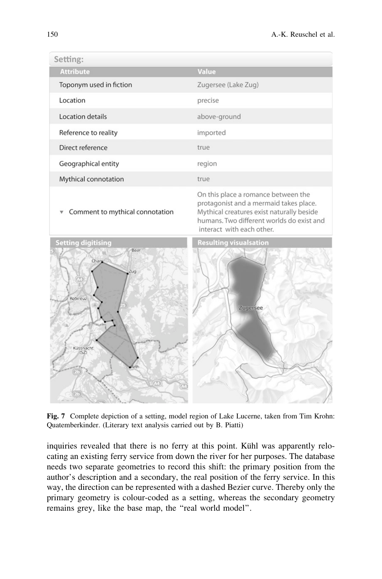<span id="page-15-0"></span>

Fig. 7 Complete depiction of a setting, model region of Lake Lucerne, taken from Tim Krohn: Quatemberkinder. (Literary text analysis carried out by B. Piatti)

inquiries revealed that there is no ferry at this point. Kühl was apparently relocating an existing ferry service from down the river for her purposes. The database needs two separate geometries to record this shift: the primary position from the author's description and a secondary, the real position of the ferry service. In this way, the direction can be represented with a dashed Bezier curve. Thereby only the primary geometry is colour-coded as a setting, whereas the secondary geometry remains grey, like the base map, the ''real world model''.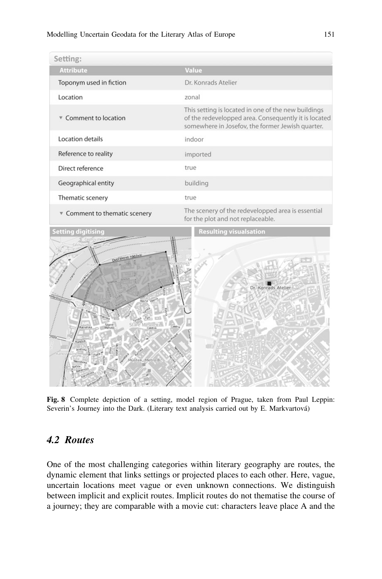<span id="page-16-0"></span>

| Setting:                      |                                                                                                                                                                 |
|-------------------------------|-----------------------------------------------------------------------------------------------------------------------------------------------------------------|
| <b>Attribute</b>              | Value                                                                                                                                                           |
| Toponym used in fiction       | Dr. Konrads Atelier                                                                                                                                             |
| Location                      | zonal                                                                                                                                                           |
| Comment to location           | This setting is located in one of the new buildings<br>of the redevelopped area. Consequently it is located<br>somewhere in Josefov, the former Jewish quarter. |
| Location details              | indoor                                                                                                                                                          |
| Reference to reality          | imported                                                                                                                                                        |
| Direct reference              | true                                                                                                                                                            |
| Geographical entity           | building                                                                                                                                                        |
| Thematic scenery              | true                                                                                                                                                            |
| ▼ Comment to thematic scenery | The scenery of the redevelopped area is essential<br>for the plot and not replaceable.                                                                          |



Fig. 8 Complete depiction of a setting, model region of Prague, taken from Paul Leppin: Severin's Journey into the Dark. (Literary text analysis carried out by E. Markvartová)

## 4.2 Routes

One of the most challenging categories within literary geography are routes, the dynamic element that links settings or projected places to each other. Here, vague, uncertain locations meet vague or even unknown connections. We distinguish between implicit and explicit routes. Implicit routes do not thematise the course of a journey; they are comparable with a movie cut: characters leave place A and the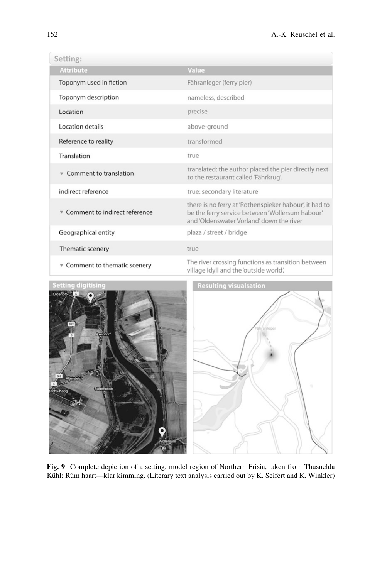<span id="page-17-0"></span>

| Value<br><b>Attribute</b><br>Toponym used in fiction<br>Fähranleger (ferry pier)<br>Toponym description<br>nameless, described<br>precise<br>Location<br>Location details<br>above-ground<br>Reference to reality<br>transformed<br>Translation<br>true<br>translated: the author placed the pier directly next<br>Comment to translation |
|-------------------------------------------------------------------------------------------------------------------------------------------------------------------------------------------------------------------------------------------------------------------------------------------------------------------------------------------|
|                                                                                                                                                                                                                                                                                                                                           |
|                                                                                                                                                                                                                                                                                                                                           |
|                                                                                                                                                                                                                                                                                                                                           |
|                                                                                                                                                                                                                                                                                                                                           |
|                                                                                                                                                                                                                                                                                                                                           |
|                                                                                                                                                                                                                                                                                                                                           |
|                                                                                                                                                                                                                                                                                                                                           |
| to the restaurant called 'Fährkrug'.                                                                                                                                                                                                                                                                                                      |
| indirect reference<br>true: secondary literature                                                                                                                                                                                                                                                                                          |
| there is no ferry at 'Rothenspieker habour', it had to<br>Comment to indirect reference<br>be the ferry service between 'Wollersum habour'<br>and 'Oldenswater Vorland' down the river                                                                                                                                                    |
| Geographical entity<br>plaza / street / bridge                                                                                                                                                                                                                                                                                            |
| Thematic scenery<br>true                                                                                                                                                                                                                                                                                                                  |
| The river crossing functions as transition between<br>▼ Comment to thematic scenery<br>village idyll and the 'outside world'.                                                                                                                                                                                                             |





Fig. 9 Complete depiction of a setting, model region of Northern Frisia, taken from Thusnelda Kühl: Rüm haart—klar kimming. (Literary text analysis carried out by K. Seifert and K. Winkler)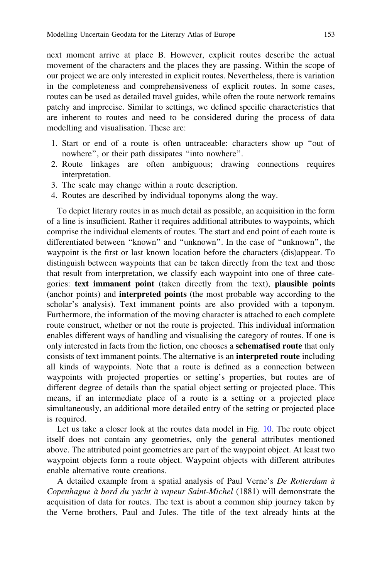next moment arrive at place B. However, explicit routes describe the actual movement of the characters and the places they are passing. Within the scope of our project we are only interested in explicit routes. Nevertheless, there is variation in the completeness and comprehensiveness of explicit routes. In some cases, routes can be used as detailed travel guides, while often the route network remains patchy and imprecise. Similar to settings, we defined specific characteristics that are inherent to routes and need to be considered during the process of data modelling and visualisation. These are:

- 1. Start or end of a route is often untraceable: characters show up ''out of nowhere", or their path dissipates "into nowhere".
- 2. Route linkages are often ambiguous; drawing connections requires interpretation.
- 3. The scale may change within a route description.
- 4. Routes are described by individual toponyms along the way.

To depict literary routes in as much detail as possible, an acquisition in the form of a line is insufficient. Rather it requires additional attributes to waypoints, which comprise the individual elements of routes. The start and end point of each route is differentiated between ''known'' and ''unknown''. In the case of ''unknown'', the waypoint is the first or last known location before the characters (dis)appear. To distinguish between waypoints that can be taken directly from the text and those that result from interpretation, we classify each waypoint into one of three categories: text immanent point (taken directly from the text), plausible points (anchor points) and interpreted points (the most probable way according to the scholar's analysis). Text immanent points are also provided with a toponym. Furthermore, the information of the moving character is attached to each complete route construct, whether or not the route is projected. This individual information enables different ways of handling and visualising the category of routes. If one is only interested in facts from the fiction, one chooses a schematised route that only consists of text immanent points. The alternative is an interpreted route including all kinds of waypoints. Note that a route is defined as a connection between waypoints with projected properties or setting's properties, but routes are of different degree of details than the spatial object setting or projected place. This means, if an intermediate place of a route is a setting or a projected place simultaneously, an additional more detailed entry of the setting or projected place is required.

Let us take a closer look at the routes data model in Fig. [10.](#page-19-0) The route object itself does not contain any geometries, only the general attributes mentioned above. The attributed point geometries are part of the waypoint object. At least two waypoint objects form a route object. Waypoint objects with different attributes enable alternative route creations.

A detailed example from a spatial analysis of Paul Verne's De Rotterdam à Copenhague à bord du yacht à vapeur Saint-Michel (1881) will demonstrate the acquisition of data for routes. The text is about a common ship journey taken by the Verne brothers, Paul and Jules. The title of the text already hints at the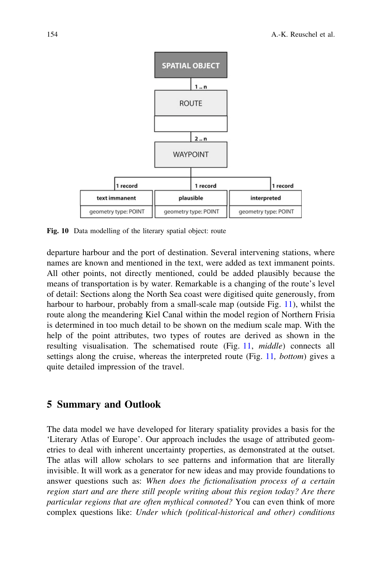<span id="page-19-0"></span>

Fig. 10 Data modelling of the literary spatial object: route

departure harbour and the port of destination. Several intervening stations, where names are known and mentioned in the text, were added as text immanent points. All other points, not directly mentioned, could be added plausibly because the means of transportation is by water. Remarkable is a changing of the route's level of detail: Sections along the North Sea coast were digitised quite generously, from harbour to harbour, probably from a small-scale map (outside Fig. [11\)](#page-20-0), whilst the route along the meandering Kiel Canal within the model region of Northern Frisia is determined in too much detail to be shown on the medium scale map. With the help of the point attributes, two types of routes are derived as shown in the resulting visualisation. The schematised route (Fig. [11](#page-20-0), middle) connects all settings along the cruise, whereas the interpreted route (Fig. [11](#page-20-0), *bottom*) gives a quite detailed impression of the travel.

### 5 Summary and Outlook

The data model we have developed for literary spatiality provides a basis for the 'Literary Atlas of Europe'. Our approach includes the usage of attributed geometries to deal with inherent uncertainty properties, as demonstrated at the outset. The atlas will allow scholars to see patterns and information that are literally invisible. It will work as a generator for new ideas and may provide foundations to answer questions such as: When does the fictionalisation process of a certain region start and are there still people writing about this region today? Are there particular regions that are often mythical connoted? You can even think of more complex questions like: Under which (political-historical and other) conditions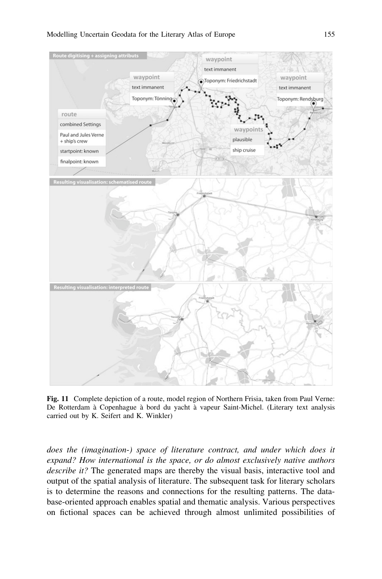#### <span id="page-20-0"></span>Modelling Uncertain Geodata for the Literary Atlas of Europe 155



Fig. 11 Complete depiction of a route, model region of Northern Frisia, taken from Paul Verne: De Rotterdam à Copenhague à bord du yacht à vapeur Saint-Michel. (Literary text analysis carried out by K. Seifert and K. Winkler)

does the (imagination-) space of literature contract, and under which does it expand? How international is the space, or do almost exclusively native authors describe it? The generated maps are thereby the visual basis, interactive tool and output of the spatial analysis of literature. The subsequent task for literary scholars is to determine the reasons and connections for the resulting patterns. The database-oriented approach enables spatial and thematic analysis. Various perspectives on fictional spaces can be achieved through almost unlimited possibilities of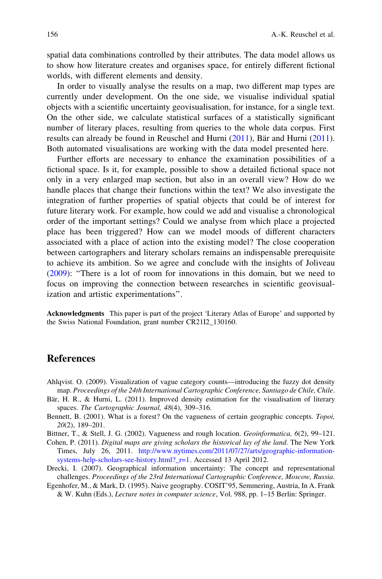<span id="page-21-0"></span>spatial data combinations controlled by their attributes. The data model allows us to show how literature creates and organises space, for entirely different fictional worlds, with different elements and density.

In order to visually analyse the results on a map, two different map types are currently under development. On the one side, we visualise individual spatial objects with a scientific uncertainty geovisualisation, for instance, for a single text. On the other side, we calculate statistical surfaces of a statistically significant number of literary places, resulting from queries to the whole data corpus. First results can already be found in Reuschel and Hurni [\(2011](#page-22-0)), Bär and Hurni (2011). Both automated visualisations are working with the data model presented here.

Further efforts are necessary to enhance the examination possibilities of a fictional space. Is it, for example, possible to show a detailed fictional space not only in a very enlarged map section, but also in an overall view? How do we handle places that change their functions within the text? We also investigate the integration of further properties of spatial objects that could be of interest for future literary work. For example, how could we add and visualise a chronological order of the important settings? Could we analyse from which place a projected place has been triggered? How can we model moods of different characters associated with a place of action into the existing model? The close cooperation between cartographers and literary scholars remains an indispensable prerequisite to achieve its ambition. So we agree and conclude with the insights of Joliveau [\(2009](#page-22-0)): ''There is a lot of room for innovations in this domain, but we need to focus on improving the connection between researches in scientific geovisualization and artistic experimentations''.

Acknowledgments This paper is part of the project 'Literary Atlas of Europe' and supported by the Swiss National Foundation, grant number CR21I2\_130160.

## References

- Ahlqvist. O. (2009). Visualization of vague category counts—introducing the fuzzy dot density map. Proceedings of the 24th International Cartographic Conference, Santiago de Chile, Chile.
- Bär, H. R., & Hurni, L. (2011). Improved density estimation for the visualisation of literary spaces. The Cartographic Journal, 48(4), 309–316.
- Bennett, B. (2001). What is a forest? On the vagueness of certain geographic concepts. Topoi, 20(2), 189–201.
- Bittner, T., & Stell, J. G. (2002). Vagueness and rough location. Geoinformatica, 6(2), 99–121.
- Cohen, P. (2011). Digital maps are giving scholars the historical lay of the land. The New York Times, July 26, 2011. [http://www.nytimes.com/2011/07/27/arts/geographic-information](http://www.nytimes.com/2011/07/27/arts/geographic-information-systems-help-scholars-see-history.html?_r=1)[systems-help-scholars-see-history.html?\\_r=1](http://www.nytimes.com/2011/07/27/arts/geographic-information-systems-help-scholars-see-history.html?_r=1). Accessed 13 April 2012.
- Drecki, I. (2007). Geographical information uncertainty: The concept and representational challenges. Proceedings of the 23rd International Cartographic Conference, Moscow, Russia.
- Egenhofer, M., & Mark, D. (1995). Naive geography. COSIT'95, Semmering, Austria, In A. Frank & W. Kuhn (Eds.), Lecture notes in computer science, Vol. 988, pp. 1–15 Berlin: Springer.